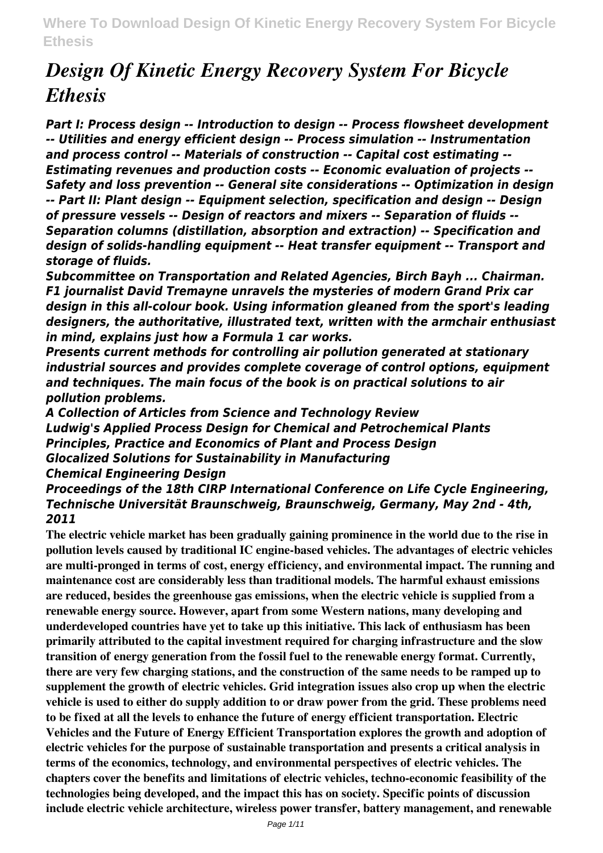# *Design Of Kinetic Energy Recovery System For Bicycle Ethesis*

*Part I: Process design -- Introduction to design -- Process flowsheet development -- Utilities and energy efficient design -- Process simulation -- Instrumentation and process control -- Materials of construction -- Capital cost estimating -- Estimating revenues and production costs -- Economic evaluation of projects -- Safety and loss prevention -- General site considerations -- Optimization in design -- Part II: Plant design -- Equipment selection, specification and design -- Design of pressure vessels -- Design of reactors and mixers -- Separation of fluids -- Separation columns (distillation, absorption and extraction) -- Specification and design of solids-handling equipment -- Heat transfer equipment -- Transport and storage of fluids.*

*Subcommittee on Transportation and Related Agencies, Birch Bayh ... Chairman. F1 journalist David Tremayne unravels the mysteries of modern Grand Prix car design in this all-colour book. Using information gleaned from the sport's leading designers, the authoritative, illustrated text, written with the armchair enthusiast in mind, explains just how a Formula 1 car works.*

*Presents current methods for controlling air pollution generated at stationary industrial sources and provides complete coverage of control options, equipment and techniques. The main focus of the book is on practical solutions to air pollution problems.*

*A Collection of Articles from Science and Technology Review Ludwig's Applied Process Design for Chemical and Petrochemical Plants Principles, Practice and Economics of Plant and Process Design Glocalized Solutions for Sustainability in Manufacturing Chemical Engineering Design*

*Proceedings of the 18th CIRP International Conference on Life Cycle Engineering, Technische Universität Braunschweig, Braunschweig, Germany, May 2nd - 4th, 2011*

**The electric vehicle market has been gradually gaining prominence in the world due to the rise in pollution levels caused by traditional IC engine-based vehicles. The advantages of electric vehicles are multi-pronged in terms of cost, energy efficiency, and environmental impact. The running and maintenance cost are considerably less than traditional models. The harmful exhaust emissions are reduced, besides the greenhouse gas emissions, when the electric vehicle is supplied from a renewable energy source. However, apart from some Western nations, many developing and underdeveloped countries have yet to take up this initiative. This lack of enthusiasm has been primarily attributed to the capital investment required for charging infrastructure and the slow transition of energy generation from the fossil fuel to the renewable energy format. Currently, there are very few charging stations, and the construction of the same needs to be ramped up to supplement the growth of electric vehicles. Grid integration issues also crop up when the electric vehicle is used to either do supply addition to or draw power from the grid. These problems need to be fixed at all the levels to enhance the future of energy efficient transportation. Electric Vehicles and the Future of Energy Efficient Transportation explores the growth and adoption of electric vehicles for the purpose of sustainable transportation and presents a critical analysis in terms of the economics, technology, and environmental perspectives of electric vehicles. The chapters cover the benefits and limitations of electric vehicles, techno-economic feasibility of the technologies being developed, and the impact this has on society. Specific points of discussion include electric vehicle architecture, wireless power transfer, battery management, and renewable**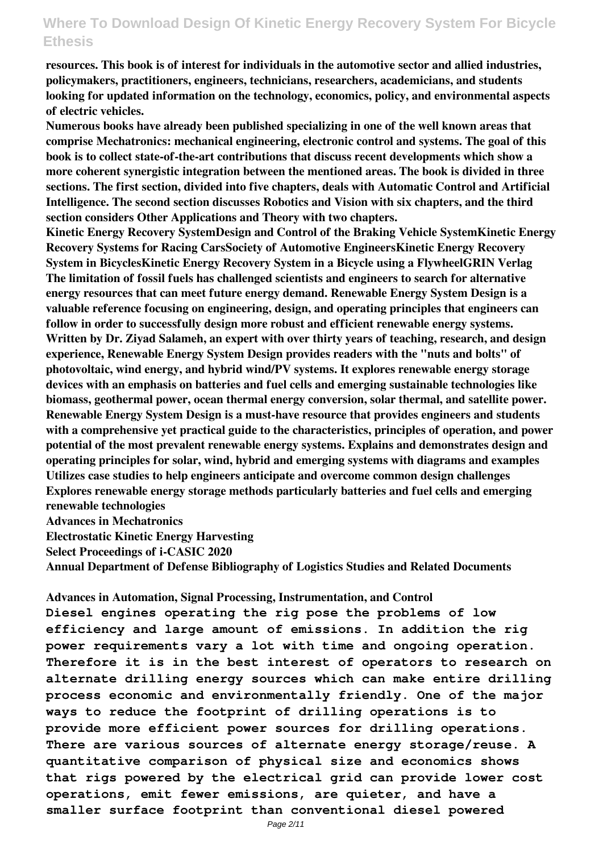**resources. This book is of interest for individuals in the automotive sector and allied industries, policymakers, practitioners, engineers, technicians, researchers, academicians, and students looking for updated information on the technology, economics, policy, and environmental aspects of electric vehicles.**

**Numerous books have already been published specializing in one of the well known areas that comprise Mechatronics: mechanical engineering, electronic control and systems. The goal of this book is to collect state-of-the-art contributions that discuss recent developments which show a more coherent synergistic integration between the mentioned areas. The book is divided in three sections. The first section, divided into five chapters, deals with Automatic Control and Artificial Intelligence. The second section discusses Robotics and Vision with six chapters, and the third section considers Other Applications and Theory with two chapters.**

**Kinetic Energy Recovery SystemDesign and Control of the Braking Vehicle SystemKinetic Energy Recovery Systems for Racing CarsSociety of Automotive EngineersKinetic Energy Recovery System in BicyclesKinetic Energy Recovery System in a Bicycle using a FlywheelGRIN Verlag The limitation of fossil fuels has challenged scientists and engineers to search for alternative energy resources that can meet future energy demand. Renewable Energy System Design is a valuable reference focusing on engineering, design, and operating principles that engineers can follow in order to successfully design more robust and efficient renewable energy systems. Written by Dr. Ziyad Salameh, an expert with over thirty years of teaching, research, and design experience, Renewable Energy System Design provides readers with the "nuts and bolts" of photovoltaic, wind energy, and hybrid wind/PV systems. It explores renewable energy storage devices with an emphasis on batteries and fuel cells and emerging sustainable technologies like biomass, geothermal power, ocean thermal energy conversion, solar thermal, and satellite power. Renewable Energy System Design is a must-have resource that provides engineers and students with a comprehensive yet practical guide to the characteristics, principles of operation, and power potential of the most prevalent renewable energy systems. Explains and demonstrates design and operating principles for solar, wind, hybrid and emerging systems with diagrams and examples Utilizes case studies to help engineers anticipate and overcome common design challenges Explores renewable energy storage methods particularly batteries and fuel cells and emerging renewable technologies**

**Advances in Mechatronics**

**Electrostatic Kinetic Energy Harvesting**

**Select Proceedings of i-CASIC 2020**

**Annual Department of Defense Bibliography of Logistics Studies and Related Documents**

**Advances in Automation, Signal Processing, Instrumentation, and Control Diesel engines operating the rig pose the problems of low efficiency and large amount of emissions. In addition the rig power requirements vary a lot with time and ongoing operation. Therefore it is in the best interest of operators to research on alternate drilling energy sources which can make entire drilling process economic and environmentally friendly. One of the major ways to reduce the footprint of drilling operations is to provide more efficient power sources for drilling operations. There are various sources of alternate energy storage/reuse. A quantitative comparison of physical size and economics shows that rigs powered by the electrical grid can provide lower cost operations, emit fewer emissions, are quieter, and have a smaller surface footprint than conventional diesel powered**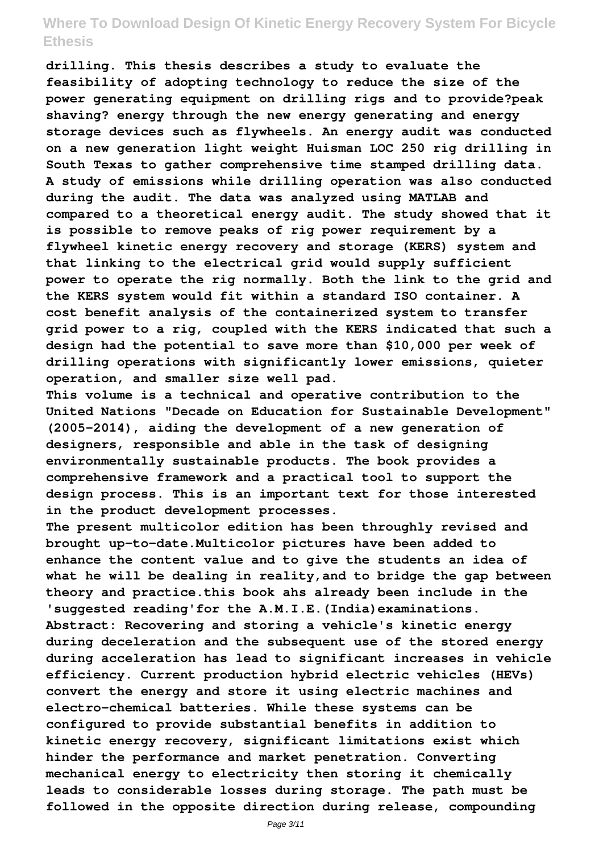**drilling. This thesis describes a study to evaluate the feasibility of adopting technology to reduce the size of the power generating equipment on drilling rigs and to provide?peak shaving? energy through the new energy generating and energy storage devices such as flywheels. An energy audit was conducted on a new generation light weight Huisman LOC 250 rig drilling in South Texas to gather comprehensive time stamped drilling data. A study of emissions while drilling operation was also conducted during the audit. The data was analyzed using MATLAB and compared to a theoretical energy audit. The study showed that it is possible to remove peaks of rig power requirement by a flywheel kinetic energy recovery and storage (KERS) system and that linking to the electrical grid would supply sufficient power to operate the rig normally. Both the link to the grid and the KERS system would fit within a standard ISO container. A cost benefit analysis of the containerized system to transfer grid power to a rig, coupled with the KERS indicated that such a design had the potential to save more than \$10,000 per week of drilling operations with significantly lower emissions, quieter operation, and smaller size well pad.**

**This volume is a technical and operative contribution to the United Nations "Decade on Education for Sustainable Development" (2005-2014), aiding the development of a new generation of designers, responsible and able in the task of designing environmentally sustainable products. The book provides a comprehensive framework and a practical tool to support the design process. This is an important text for those interested in the product development processes.**

**The present multicolor edition has been throughly revised and brought up-to-date.Multicolor pictures have been added to enhance the content value and to give the students an idea of what he will be dealing in reality,and to bridge the gap between theory and practice.this book ahs already been include in the 'suggested reading'for the A.M.I.E.(India)examinations. Abstract: Recovering and storing a vehicle's kinetic energy during deceleration and the subsequent use of the stored energy during acceleration has lead to significant increases in vehicle efficiency. Current production hybrid electric vehicles (HEVs) convert the energy and store it using electric machines and electro-chemical batteries. While these systems can be configured to provide substantial benefits in addition to kinetic energy recovery, significant limitations exist which hinder the performance and market penetration. Converting mechanical energy to electricity then storing it chemically leads to considerable losses during storage. The path must be followed in the opposite direction during release, compounding**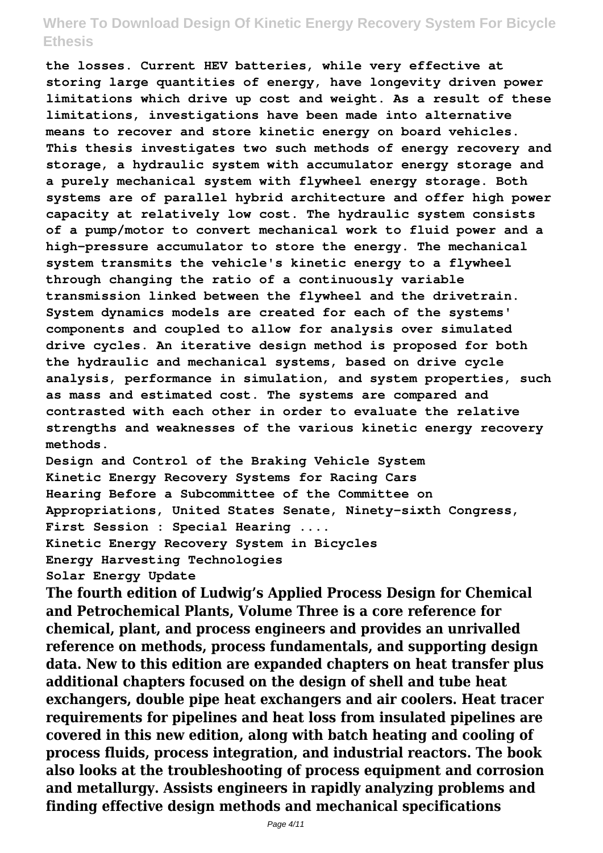**the losses. Current HEV batteries, while very effective at storing large quantities of energy, have longevity driven power limitations which drive up cost and weight. As a result of these limitations, investigations have been made into alternative means to recover and store kinetic energy on board vehicles. This thesis investigates two such methods of energy recovery and storage, a hydraulic system with accumulator energy storage and a purely mechanical system with flywheel energy storage. Both systems are of parallel hybrid architecture and offer high power capacity at relatively low cost. The hydraulic system consists of a pump/motor to convert mechanical work to fluid power and a high-pressure accumulator to store the energy. The mechanical system transmits the vehicle's kinetic energy to a flywheel through changing the ratio of a continuously variable transmission linked between the flywheel and the drivetrain. System dynamics models are created for each of the systems' components and coupled to allow for analysis over simulated drive cycles. An iterative design method is proposed for both the hydraulic and mechanical systems, based on drive cycle analysis, performance in simulation, and system properties, such as mass and estimated cost. The systems are compared and contrasted with each other in order to evaluate the relative strengths and weaknesses of the various kinetic energy recovery methods.**

**Design and Control of the Braking Vehicle System Kinetic Energy Recovery Systems for Racing Cars Hearing Before a Subcommittee of the Committee on Appropriations, United States Senate, Ninety-sixth Congress, First Session : Special Hearing .... Kinetic Energy Recovery System in Bicycles Energy Harvesting Technologies Solar Energy Update**

**The fourth edition of Ludwig's Applied Process Design for Chemical and Petrochemical Plants, Volume Three is a core reference for chemical, plant, and process engineers and provides an unrivalled reference on methods, process fundamentals, and supporting design data. New to this edition are expanded chapters on heat transfer plus additional chapters focused on the design of shell and tube heat exchangers, double pipe heat exchangers and air coolers. Heat tracer requirements for pipelines and heat loss from insulated pipelines are covered in this new edition, along with batch heating and cooling of process fluids, process integration, and industrial reactors. The book also looks at the troubleshooting of process equipment and corrosion and metallurgy. Assists engineers in rapidly analyzing problems and finding effective design methods and mechanical specifications**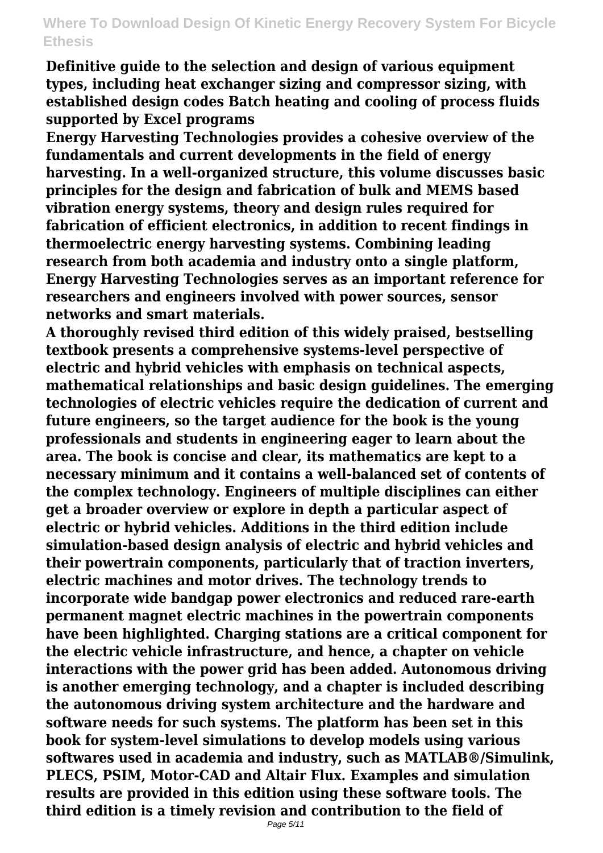**Definitive guide to the selection and design of various equipment types, including heat exchanger sizing and compressor sizing, with established design codes Batch heating and cooling of process fluids supported by Excel programs**

**Energy Harvesting Technologies provides a cohesive overview of the fundamentals and current developments in the field of energy harvesting. In a well-organized structure, this volume discusses basic principles for the design and fabrication of bulk and MEMS based vibration energy systems, theory and design rules required for fabrication of efficient electronics, in addition to recent findings in thermoelectric energy harvesting systems. Combining leading research from both academia and industry onto a single platform, Energy Harvesting Technologies serves as an important reference for researchers and engineers involved with power sources, sensor networks and smart materials.**

**A thoroughly revised third edition of this widely praised, bestselling textbook presents a comprehensive systems-level perspective of electric and hybrid vehicles with emphasis on technical aspects, mathematical relationships and basic design guidelines. The emerging technologies of electric vehicles require the dedication of current and future engineers, so the target audience for the book is the young professionals and students in engineering eager to learn about the area. The book is concise and clear, its mathematics are kept to a necessary minimum and it contains a well-balanced set of contents of the complex technology. Engineers of multiple disciplines can either get a broader overview or explore in depth a particular aspect of electric or hybrid vehicles. Additions in the third edition include simulation-based design analysis of electric and hybrid vehicles and their powertrain components, particularly that of traction inverters, electric machines and motor drives. The technology trends to incorporate wide bandgap power electronics and reduced rare-earth permanent magnet electric machines in the powertrain components have been highlighted. Charging stations are a critical component for the electric vehicle infrastructure, and hence, a chapter on vehicle interactions with the power grid has been added. Autonomous driving is another emerging technology, and a chapter is included describing the autonomous driving system architecture and the hardware and software needs for such systems. The platform has been set in this book for system-level simulations to develop models using various softwares used in academia and industry, such as MATLAB®/Simulink, PLECS, PSIM, Motor-CAD and Altair Flux. Examples and simulation results are provided in this edition using these software tools. The third edition is a timely revision and contribution to the field of**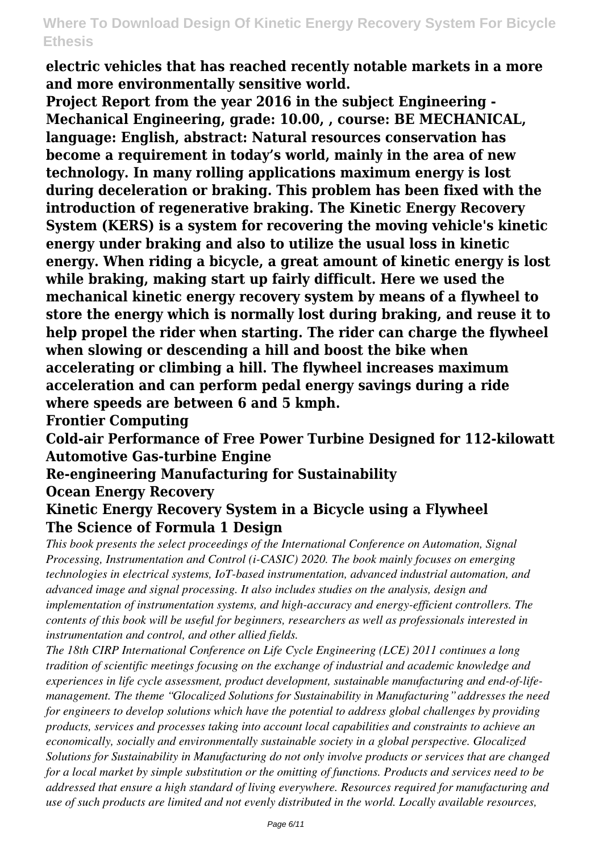**electric vehicles that has reached recently notable markets in a more and more environmentally sensitive world.**

**Project Report from the year 2016 in the subject Engineering - Mechanical Engineering, grade: 10.00, , course: BE MECHANICAL, language: English, abstract: Natural resources conservation has become a requirement in today's world, mainly in the area of new technology. In many rolling applications maximum energy is lost during deceleration or braking. This problem has been fixed with the introduction of regenerative braking. The Kinetic Energy Recovery System (KERS) is a system for recovering the moving vehicle's kinetic energy under braking and also to utilize the usual loss in kinetic energy. When riding a bicycle, a great amount of kinetic energy is lost while braking, making start up fairly difficult. Here we used the mechanical kinetic energy recovery system by means of a flywheel to store the energy which is normally lost during braking, and reuse it to help propel the rider when starting. The rider can charge the flywheel when slowing or descending a hill and boost the bike when accelerating or climbing a hill. The flywheel increases maximum acceleration and can perform pedal energy savings during a ride where speeds are between 6 and 5 kmph.**

**Frontier Computing**

**Cold-air Performance of Free Power Turbine Designed for 112-kilowatt Automotive Gas-turbine Engine**

**Re-engineering Manufacturing for Sustainability**

**Ocean Energy Recovery**

#### **Kinetic Energy Recovery System in a Bicycle using a Flywheel The Science of Formula 1 Design**

*This book presents the select proceedings of the International Conference on Automation, Signal Processing, Instrumentation and Control (i-CASIC) 2020. The book mainly focuses on emerging technologies in electrical systems, IoT-based instrumentation, advanced industrial automation, and advanced image and signal processing. It also includes studies on the analysis, design and implementation of instrumentation systems, and high-accuracy and energy-efficient controllers. The contents of this book will be useful for beginners, researchers as well as professionals interested in instrumentation and control, and other allied fields.*

*The 18th CIRP International Conference on Life Cycle Engineering (LCE) 2011 continues a long tradition of scientific meetings focusing on the exchange of industrial and academic knowledge and experiences in life cycle assessment, product development, sustainable manufacturing and end-of-lifemanagement. The theme "Glocalized Solutions for Sustainability in Manufacturing" addresses the need for engineers to develop solutions which have the potential to address global challenges by providing products, services and processes taking into account local capabilities and constraints to achieve an economically, socially and environmentally sustainable society in a global perspective. Glocalized Solutions for Sustainability in Manufacturing do not only involve products or services that are changed for a local market by simple substitution or the omitting of functions. Products and services need to be addressed that ensure a high standard of living everywhere. Resources required for manufacturing and use of such products are limited and not evenly distributed in the world. Locally available resources,*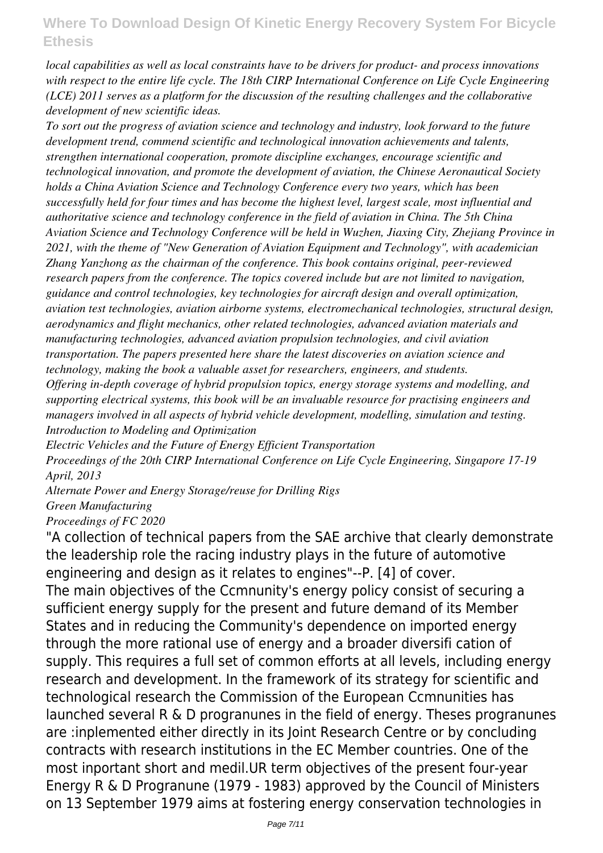*local capabilities as well as local constraints have to be drivers for product- and process innovations with respect to the entire life cycle. The 18th CIRP International Conference on Life Cycle Engineering (LCE) 2011 serves as a platform for the discussion of the resulting challenges and the collaborative development of new scientific ideas.*

*To sort out the progress of aviation science and technology and industry, look forward to the future development trend, commend scientific and technological innovation achievements and talents, strengthen international cooperation, promote discipline exchanges, encourage scientific and technological innovation, and promote the development of aviation, the Chinese Aeronautical Society holds a China Aviation Science and Technology Conference every two years, which has been successfully held for four times and has become the highest level, largest scale, most influential and authoritative science and technology conference in the field of aviation in China. The 5th China Aviation Science and Technology Conference will be held in Wuzhen, Jiaxing City, Zhejiang Province in 2021, with the theme of "New Generation of Aviation Equipment and Technology", with academician Zhang Yanzhong as the chairman of the conference. This book contains original, peer-reviewed research papers from the conference. The topics covered include but are not limited to navigation, guidance and control technologies, key technologies for aircraft design and overall optimization, aviation test technologies, aviation airborne systems, electromechanical technologies, structural design, aerodynamics and flight mechanics, other related technologies, advanced aviation materials and manufacturing technologies, advanced aviation propulsion technologies, and civil aviation transportation. The papers presented here share the latest discoveries on aviation science and technology, making the book a valuable asset for researchers, engineers, and students. Offering in-depth coverage of hybrid propulsion topics, energy storage systems and modelling, and supporting electrical systems, this book will be an invaluable resource for practising engineers and managers involved in all aspects of hybrid vehicle development, modelling, simulation and testing. Introduction to Modeling and Optimization*

*Electric Vehicles and the Future of Energy Efficient Transportation*

*Proceedings of the 20th CIRP International Conference on Life Cycle Engineering, Singapore 17-19 April, 2013*

*Alternate Power and Energy Storage/reuse for Drilling Rigs Green Manufacturing*

#### *Proceedings of FC 2020*

"A collection of technical papers from the SAE archive that clearly demonstrate the leadership role the racing industry plays in the future of automotive engineering and design as it relates to engines"--P. [4] of cover. The main objectives of the Ccmnunity's energy policy consist of securing a sufficient energy supply for the present and future demand of its Member States and in reducing the Community's dependence on imported energy through the more rational use of energy and a broader diversifi cation of supply. This requires a full set of common efforts at all levels, including energy research and development. In the framework of its strategy for scientific and technological research the Commission of the European Ccmnunities has launched several R & D progranunes in the field of energy. Theses progranunes are :inplemented either directly in its Joint Research Centre or by concluding contracts with research institutions in the EC Member countries. One of the most inportant short and medil.UR term objectives of the present four-year Energy R & D Progranune (1979 - 1983) approved by the Council of Ministers on 13 September 1979 aims at fostering energy conservation technologies in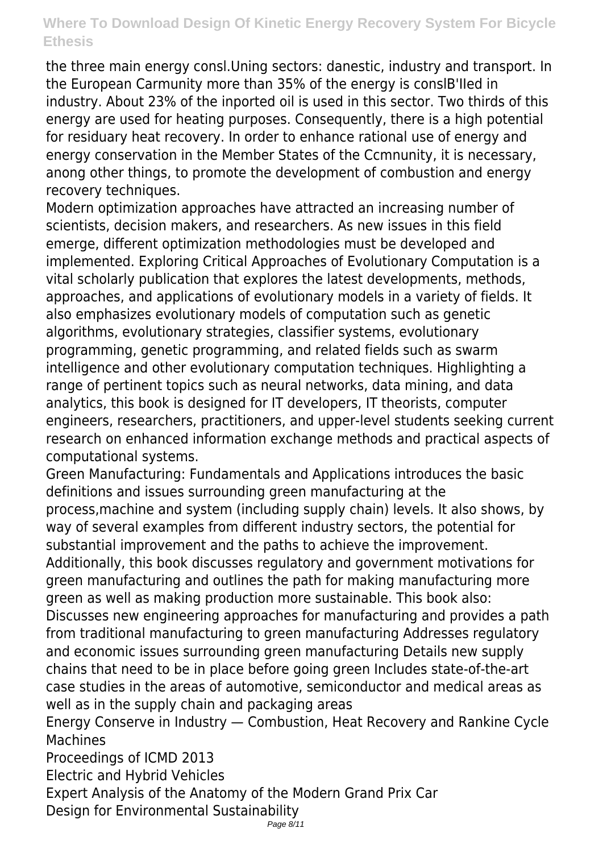the three main energy consl.Uning sectors: danestic, industry and transport. In the European Carmunity more than 35% of the energy is conslB'IIed in industry. About 23% of the inported oil is used in this sector. Two thirds of this energy are used for heating purposes. Consequently, there is a high potential for residuary heat recovery. In order to enhance rational use of energy and energy conservation in the Member States of the Ccmnunity, it is necessary, anong other things, to promote the development of combustion and energy recovery techniques.

Modern optimization approaches have attracted an increasing number of scientists, decision makers, and researchers. As new issues in this field emerge, different optimization methodologies must be developed and implemented. Exploring Critical Approaches of Evolutionary Computation is a vital scholarly publication that explores the latest developments, methods, approaches, and applications of evolutionary models in a variety of fields. It also emphasizes evolutionary models of computation such as genetic algorithms, evolutionary strategies, classifier systems, evolutionary programming, genetic programming, and related fields such as swarm intelligence and other evolutionary computation techniques. Highlighting a range of pertinent topics such as neural networks, data mining, and data analytics, this book is designed for IT developers, IT theorists, computer engineers, researchers, practitioners, and upper-level students seeking current research on enhanced information exchange methods and practical aspects of computational systems.

Green Manufacturing: Fundamentals and Applications introduces the basic definitions and issues surrounding green manufacturing at the process,machine and system (including supply chain) levels. It also shows, by way of several examples from different industry sectors, the potential for substantial improvement and the paths to achieve the improvement. Additionally, this book discusses regulatory and government motivations for green manufacturing and outlines the path for making manufacturing more green as well as making production more sustainable. This book also: Discusses new engineering approaches for manufacturing and provides a path from traditional manufacturing to green manufacturing Addresses regulatory and economic issues surrounding green manufacturing Details new supply chains that need to be in place before going green Includes state-of-the-art case studies in the areas of automotive, semiconductor and medical areas as well as in the supply chain and packaging areas

Energy Conserve in Industry — Combustion, Heat Recovery and Rankine Cycle Machines

Proceedings of ICMD 2013

Electric and Hybrid Vehicles

Expert Analysis of the Anatomy of the Modern Grand Prix Car Design for Environmental Sustainability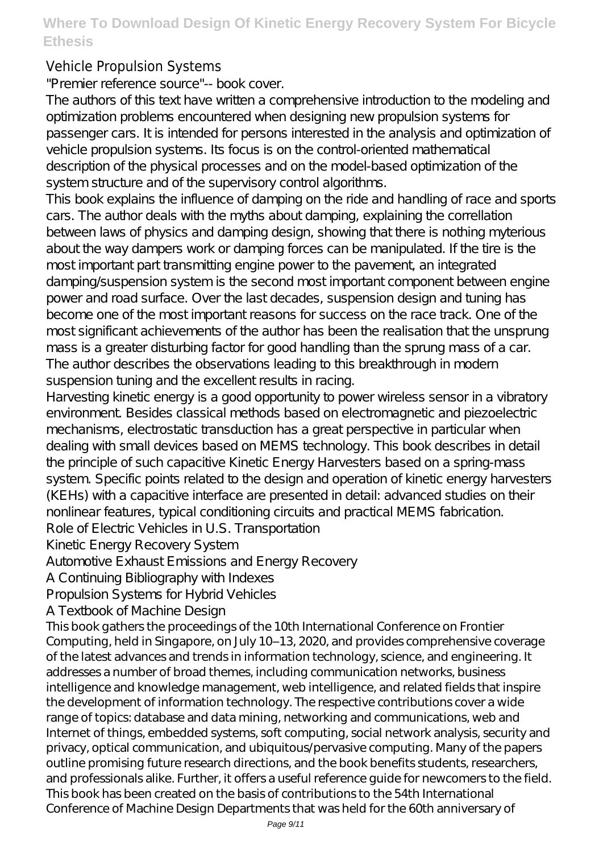### Vehicle Propulsion Systems

"Premier reference source"-- book cover.

The authors of this text have written a comprehensive introduction to the modeling and optimization problems encountered when designing new propulsion systems for passenger cars. It is intended for persons interested in the analysis and optimization of vehicle propulsion systems. Its focus is on the control-oriented mathematical description of the physical processes and on the model-based optimization of the system structure and of the supervisory control algorithms.

This book explains the influence of damping on the ride and handling of race and sports cars. The author deals with the myths about damping, explaining the correllation between laws of physics and damping design, showing that there is nothing myterious about the way dampers work or damping forces can be manipulated. If the tire is the most important part transmitting engine power to the pavement, an integrated damping/suspension system is the second most important component between engine power and road surface. Over the last decades, suspension design and tuning has become one of the most important reasons for success on the race track. One of the most significant achievements of the author has been the realisation that the unsprung mass is a greater disturbing factor for good handling than the sprung mass of a car. The author describes the observations leading to this breakthrough in modern suspension tuning and the excellent results in racing.

Harvesting kinetic energy is a good opportunity to power wireless sensor in a vibratory environment. Besides classical methods based on electromagnetic and piezoelectric mechanisms, electrostatic transduction has a great perspective in particular when dealing with small devices based on MEMS technology. This book describes in detail the principle of such capacitive Kinetic Energy Harvesters based on a spring-mass system. Specific points related to the design and operation of kinetic energy harvesters (KEHs) with a capacitive interface are presented in detail: advanced studies on their nonlinear features, typical conditioning circuits and practical MEMS fabrication. Role of Electric Vehicles in U.S. Transportation

Kinetic Energy Recovery System

Automotive Exhaust Emissions and Energy Recovery

A Continuing Bibliography with Indexes

Propulsion Systems for Hybrid Vehicles

A Textbook of Machine Design

This book gathers the proceedings of the 10th International Conference on Frontier Computing, held in Singapore, on July 10–13, 2020, and provides comprehensive coverage of the latest advances and trends in information technology, science, and engineering. It addresses a number of broad themes, including communication networks, business intelligence and knowledge management, web intelligence, and related fields that inspire the development of information technology. The respective contributions cover a wide range of topics: database and data mining, networking and communications, web and Internet of things, embedded systems, soft computing, social network analysis, security and privacy, optical communication, and ubiquitous/pervasive computing. Many of the papers outline promising future research directions, and the book benefits students, researchers, and professionals alike. Further, it offers a useful reference guide for newcomers to the field. This book has been created on the basis of contributions to the 54th International Conference of Machine Design Departments that was held for the 60th anniversary of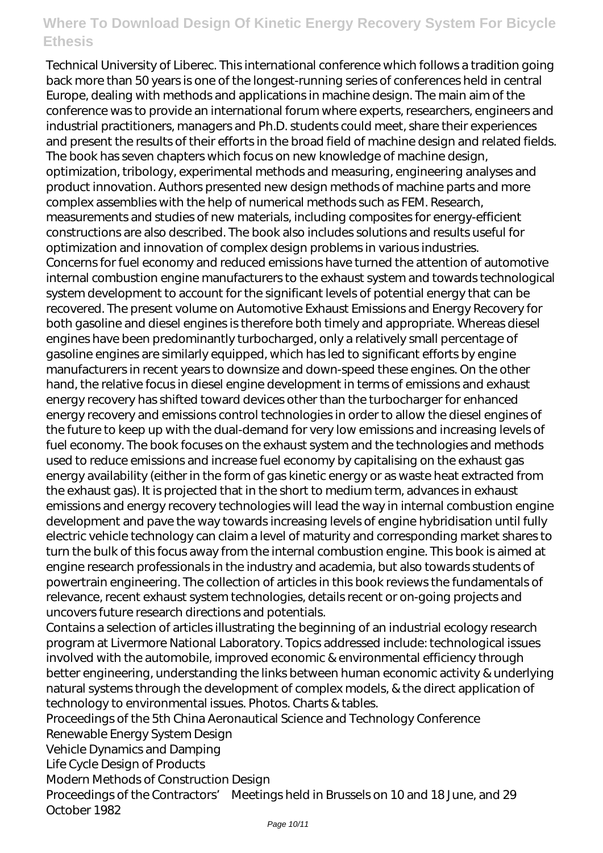Technical University of Liberec. This international conference which follows a tradition going back more than 50 years is one of the longest-running series of conferences held in central Europe, dealing with methods and applications in machine design. The main aim of the conference was to provide an international forum where experts, researchers, engineers and industrial practitioners, managers and Ph.D. students could meet, share their experiences and present the results of their efforts in the broad field of machine design and related fields. The book has seven chapters which focus on new knowledge of machine design, optimization, tribology, experimental methods and measuring, engineering analyses and product innovation. Authors presented new design methods of machine parts and more complex assemblies with the help of numerical methods such as FEM. Research, measurements and studies of new materials, including composites for energy-efficient constructions are also described. The book also includes solutions and results useful for optimization and innovation of complex design problems in various industries. Concerns for fuel economy and reduced emissions have turned the attention of automotive internal combustion engine manufacturers to the exhaust system and towards technological system development to account for the significant levels of potential energy that can be recovered. The present volume on Automotive Exhaust Emissions and Energy Recovery for both gasoline and diesel engines is therefore both timely and appropriate. Whereas diesel engines have been predominantly turbocharged, only a relatively small percentage of gasoline engines are similarly equipped, which has led to significant efforts by engine manufacturers in recent years to downsize and down-speed these engines. On the other hand, the relative focus in diesel engine development in terms of emissions and exhaust energy recovery has shifted toward devices other than the turbocharger for enhanced energy recovery and emissions control technologies in order to allow the diesel engines of the future to keep up with the dual-demand for very low emissions and increasing levels of fuel economy. The book focuses on the exhaust system and the technologies and methods used to reduce emissions and increase fuel economy by capitalising on the exhaust gas energy availability (either in the form of gas kinetic energy or as waste heat extracted from the exhaust gas). It is projected that in the short to medium term, advances in exhaust emissions and energy recovery technologies will lead the way in internal combustion engine development and pave the way towards increasing levels of engine hybridisation until fully electric vehicle technology can claim a level of maturity and corresponding market shares to turn the bulk of this focus away from the internal combustion engine. This book is aimed at engine research professionals in the industry and academia, but also towards students of powertrain engineering. The collection of articles in this book reviews the fundamentals of relevance, recent exhaust system technologies, details recent or on-going projects and uncovers future research directions and potentials.

Contains a selection of articles illustrating the beginning of an industrial ecology research program at Livermore National Laboratory. Topics addressed include: technological issues involved with the automobile, improved economic & environmental efficiency through better engineering, understanding the links between human economic activity & underlying natural systems through the development of complex models, & the direct application of technology to environmental issues. Photos. Charts & tables.

Proceedings of the 5th China Aeronautical Science and Technology Conference Renewable Energy System Design Vehicle Dynamics and Damping

Life Cycle Design of Products

Modern Methods of Construction Design

Proceedings of the Contractors' Meetings held in Brussels on 10 and 18 June, and 29 October 1982